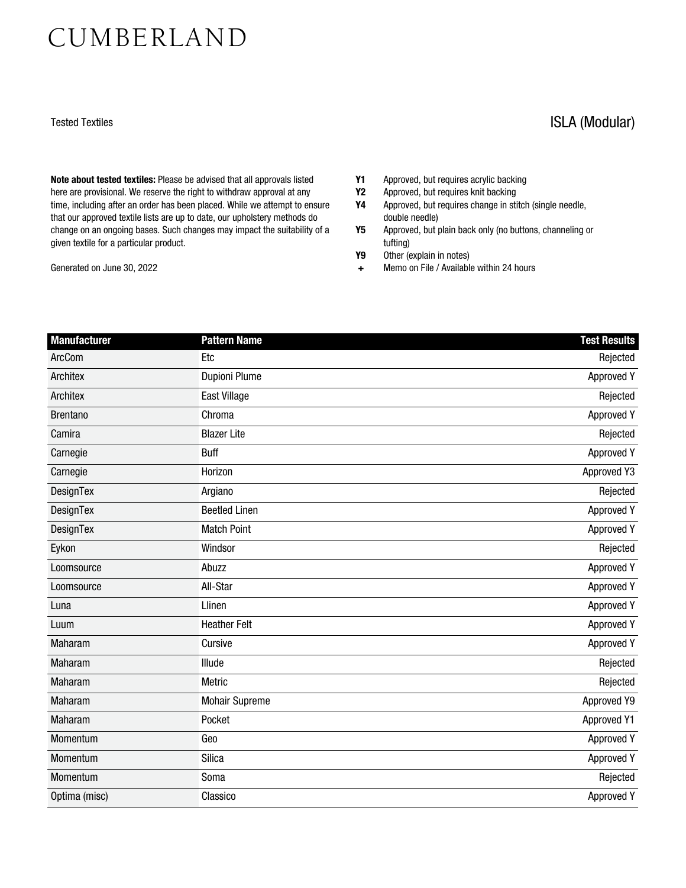## CUMBERLAND

Note about tested textiles: Please be advised that all approvals listed here are provisional. We reserve the right to withdraw approval at any time, including after an order has been placed. While we attempt to ensure that our approved textile lists are up to date, our upholstery methods do change on an ongoing bases. Such changes may impact the suitability of a given textile for a particular product.

Generated on June 30, 2022

- 
- Y1 Approved, but requires acrylic backing<br>Y2 Approved, but requires knit backing Y2 Approved, but requires knit backing<br>Y4 Approved, but requires change in sti
- Approved, but requires change in stitch (single needle, double needle)
- Y5 Approved, but plain back only (no buttons, channeling or tufting)
- Y9 Other (explain in notes)
- + Memo on File / Available within 24 hours

| Manufacturer    | <b>Pattern Name</b>   | <b>Test Results</b> |
|-----------------|-----------------------|---------------------|
| ArcCom          | <b>Etc</b>            | Rejected            |
| Architex        | <b>Dupioni Plume</b>  | Approved Y          |
| Architex        | <b>East Village</b>   | Rejected            |
| <b>Brentano</b> | Chroma                | <b>Approved Y</b>   |
| Camira          | <b>Blazer Lite</b>    | Rejected            |
| Carnegie        | Buff                  | <b>Approved Y</b>   |
| Carnegie        | Horizon               | Approved Y3         |
| DesignTex       | Argiano               | Rejected            |
| DesignTex       | <b>Beetled Linen</b>  | <b>Approved Y</b>   |
| DesignTex       | <b>Match Point</b>    | <b>Approved Y</b>   |
| Eykon           | Windsor               | Rejected            |
| Loomsource      | Abuzz                 | Approved Y          |
| Loomsource      | All-Star              | <b>Approved Y</b>   |
| Luna            | Llinen                | <b>Approved Y</b>   |
| Luum            | <b>Heather Felt</b>   | <b>Approved Y</b>   |
| Maharam         | Cursive               | <b>Approved Y</b>   |
| Maharam         | Illude                | Rejected            |
| <b>Maharam</b>  | Metric                | Rejected            |
| Maharam         | <b>Mohair Supreme</b> | Approved Y9         |
| Maharam         | Pocket                | <b>Approved Y1</b>  |
| Momentum        | Geo                   | <b>Approved Y</b>   |
| Momentum        | Silica                | <b>Approved Y</b>   |
| Momentum        | Soma                  | Rejected            |
| Optima (misc)   | Classico              | <b>Approved Y</b>   |

## Tested Textiles **ISLA (Modular)**